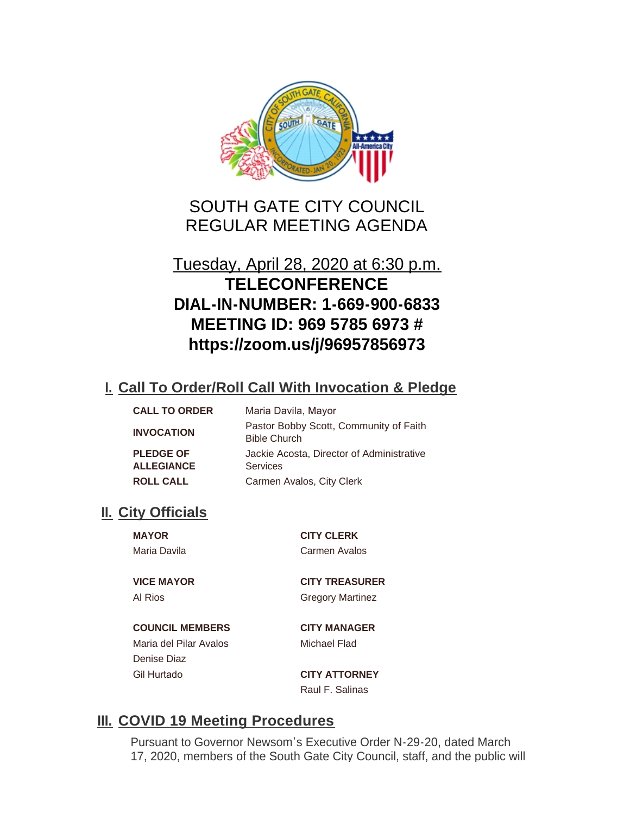

# SOUTH GATE CITY COUNCIL REGULAR MEETING AGENDA

# Tuesday, April 28, 2020 at 6:30 p.m. **TELECONFERENCE DIAL-IN-NUMBER: 1-669-900-6833 MEETING ID: 969 5785 6973 # https://zoom.us/j/96957856973**

## **Call To Order/Roll Call With Invocation & Pledge I.**

| <b>CALL TO ORDER</b>                  | Maria Davila, Mayor                                           |
|---------------------------------------|---------------------------------------------------------------|
| <b>INVOCATION</b>                     | Pastor Bobby Scott, Community of Faith<br><b>Bible Church</b> |
| <b>PLEDGE OF</b><br><b>ALLEGIANCE</b> | Jackie Acosta, Director of Administrative<br><b>Services</b>  |
| <b>ROLL CALL</b>                      | Carmen Avalos, City Clerk                                     |

## **II.** City Officials

**MAYOR CITY CLERK**

**COUNCIL MEMBERS CITY MANAGER** Maria del Pilar Avalos **Michael Flad** Denise Diaz Gil Hurtado **CITY ATTORNEY**

Maria Davila Carmen Avalos

**VICE MAYOR CITY TREASURER** Al Rios Gregory Martinez

Raul F. Salinas

## **III. COVID 19 Meeting Procedures**

Pursuant to Governor Newsom's Executive Order N-29-20, dated March 17, 2020, members of the South Gate City Council, staff, and the public will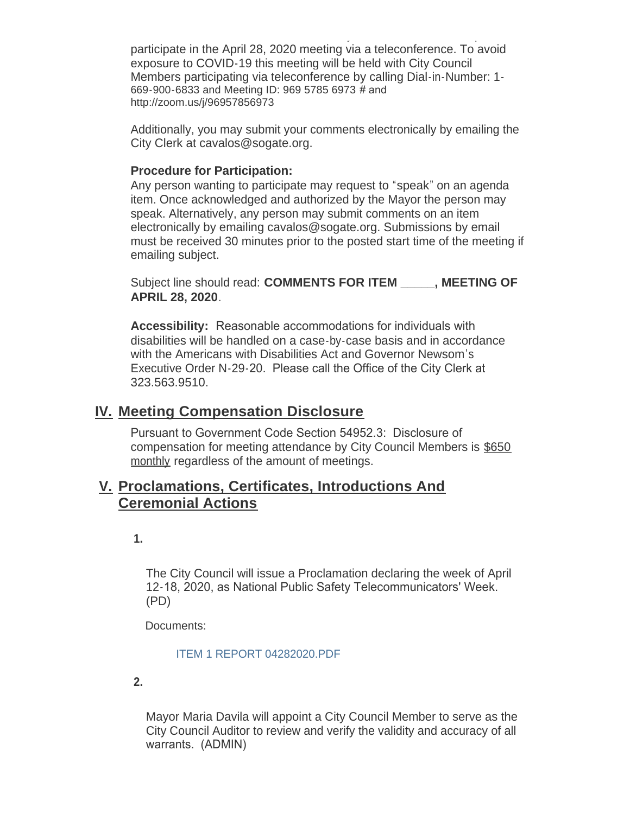17, 2020, members of the South Gate City Council, staff, and the public will participate in the April 28, 2020 meeting via a teleconference. To avoid exposure to COVID-19 this meeting will be held with City Council Members participating via teleconference by calling Dial-in-Number: 1- 669-900-6833 and Meeting ID: 969 5785 6973 # and http://zoom.us/j/96957856973

Additionally, you may submit your comments electronically by emailing the City Clerk at cavalos@sogate.org.

#### **Procedure for Participation:**

Any person wanting to participate may request to "speak" on an agenda item. Once acknowledged and authorized by the Mayor the person may speak. Alternatively, any person may submit comments on an item electronically by emailing cavalos@sogate.org. Submissions by email must be received 30 minutes prior to the posted start time of the meeting if emailing subject.

Subject line should read: **COMMENTS FOR ITEM \_\_\_\_\_, MEETING OF APRIL 28, 2020**.

**Accessibility:** Reasonable accommodations for individuals with disabilities will be handled on a case-by-case basis and in accordance with the Americans with Disabilities Act and Governor Newsom's Executive Order N-29-20. Please call the Office of the City Clerk at 323.563.9510.

### **Meeting Compensation Disclosure IV.**

Pursuant to Government Code Section 54952.3: Disclosure of compensation for meeting attendance by City Council Members is \$650 monthly regardless of the amount of meetings.

### **Proclamations, Certificates, Introductions And V. Ceremonial Actions**

**1.** 

The City Council will issue a Proclamation declaring the week of April 12-18, 2020, as National Public Safety Telecommunicators' Week. (PD)

Documents:

[ITEM 1 REPORT 04282020.PDF](http://cityofsouthgate.org/AgendaCenter/ViewFile/Item/8839?fileID=24052)

**2.** 

Mayor Maria Davila will appoint a City Council Member to serve as the City Council Auditor to review and verify the validity and accuracy of all warrants. (ADMIN)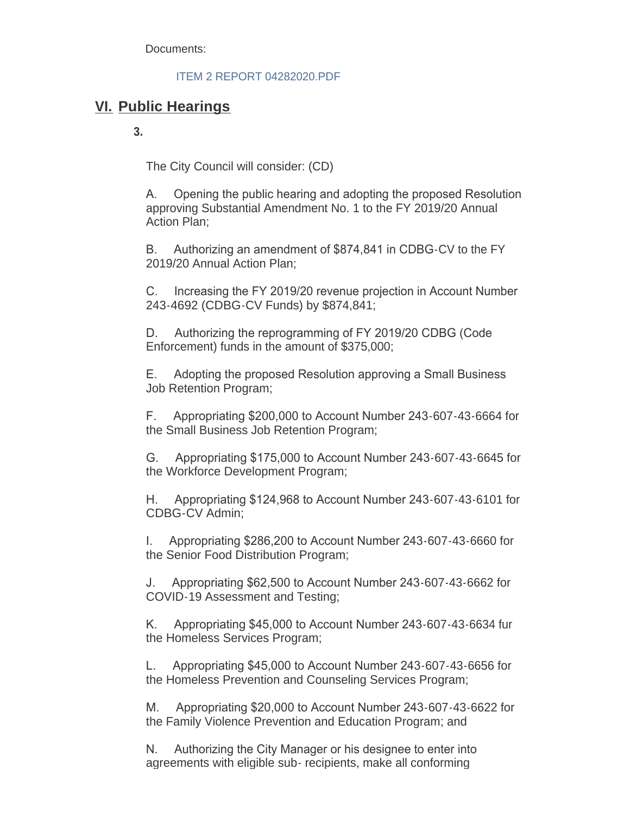Documents:

[ITEM 2 REPORT 04282020.PDF](http://cityofsouthgate.org/AgendaCenter/ViewFile/Item/8849?fileID=24016)

## **Public Hearings VI.**

**3.**

The City Council will consider: (CD)

A. Opening the public hearing and adopting the proposed Resolution approving Substantial Amendment No. 1 to the FY 2019/20 Annual Action Plan;

B. Authorizing an amendment of \$874,841 in CDBG-CV to the FY 2019/20 Annual Action Plan;

C. Increasing the FY 2019/20 revenue projection in Account Number 243-4692 (CDBG-CV Funds) by \$874,841;

D. Authorizing the reprogramming of FY 2019/20 CDBG (Code Enforcement) funds in the amount of \$375,000;

E. Adopting the proposed Resolution approving a Small Business Job Retention Program;

F. Appropriating \$200,000 to Account Number 243-607-43-6664 for the Small Business Job Retention Program;

G. Appropriating \$175,000 to Account Number 243-607-43-6645 for the Workforce Development Program;

H. Appropriating \$124,968 to Account Number 243-607-43-6101 for CDBG-CV Admin;

I. Appropriating \$286,200 to Account Number 243-607-43-6660 for the Senior Food Distribution Program;

J. Appropriating \$62,500 to Account Number 243-607-43-6662 for COVID-19 Assessment and Testing;

K. Appropriating \$45,000 to Account Number 243-607-43-6634 fur the Homeless Services Program;

L. Appropriating \$45,000 to Account Number 243-607-43-6656 for the Homeless Prevention and Counseling Services Program;

M. Appropriating \$20,000 to Account Number 243-607-43-6622 for the Family Violence Prevention and Education Program; and

N. Authorizing the City Manager or his designee to enter into agreements with eligible sub- recipients, make all conforming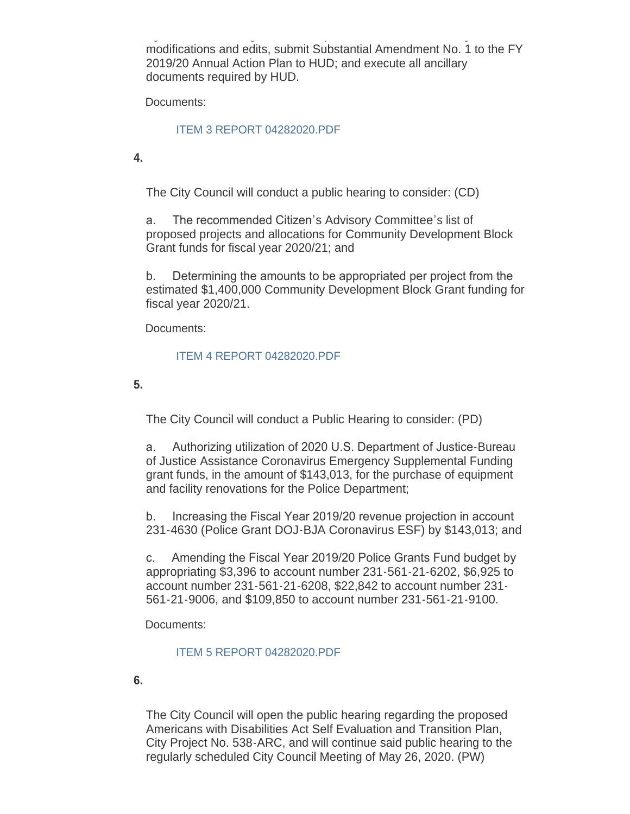agreements with eligible sub- recipients, make all conforming modifications and edits, submit Substantial Amendment No. 1 to the FY 2019/20 Annual Action Plan to HUD; and execute all ancillary documents required by HUD.

Documents:

#### [ITEM 3 REPORT 04282020.PDF](http://cityofsouthgate.org/AgendaCenter/ViewFile/Item/8853?fileID=24020)

**4.**

The City Council will conduct a public hearing to consider: (CD)

a. The recommended Citizen's Advisory Committee's list of proposed projects and allocations for Community Development Block Grant funds for fiscal year 2020/21; and

b. Determining the amounts to be appropriated per project from the estimated \$1,400,000 Community Development Block Grant funding for fiscal year 2020/21.

Documents:

#### [ITEM 4 REPORT 04282020.PDF](http://cityofsouthgate.org/AgendaCenter/ViewFile/Item/8850?fileID=24017)

**5.** 

The City Council will conduct a Public Hearing to consider: (PD)

a. Authorizing utilization of 2020 U.S. Department of Justice-Bureau of Justice Assistance Coronavirus Emergency Supplemental Funding grant funds, in the amount of \$143,013, for the purchase of equipment and facility renovations for the Police Department;

b. Increasing the Fiscal Year 2019/20 revenue projection in account 231-4630 (Police Grant DOJ-BJA Coronavirus ESF) by \$143,013; and

c. Amending the Fiscal Year 2019/20 Police Grants Fund budget by appropriating \$3,396 to account number 231-561-21-6202, \$6,925 to account number 231-561-21-6208, \$22,842 to account number 231- 561-21-9006, and \$109,850 to account number 231-561-21-9100.

Documents:

#### [ITEM 5 REPORT 04282020.PDF](http://cityofsouthgate.org/AgendaCenter/ViewFile/Item/8840?fileID=24006)

**6.** 

The City Council will open the public hearing regarding the proposed Americans with Disabilities Act Self Evaluation and Transition Plan, City Project No. 538-ARC, and will continue said public hearing to the regularly scheduled City Council Meeting of May 26, 2020. (PW)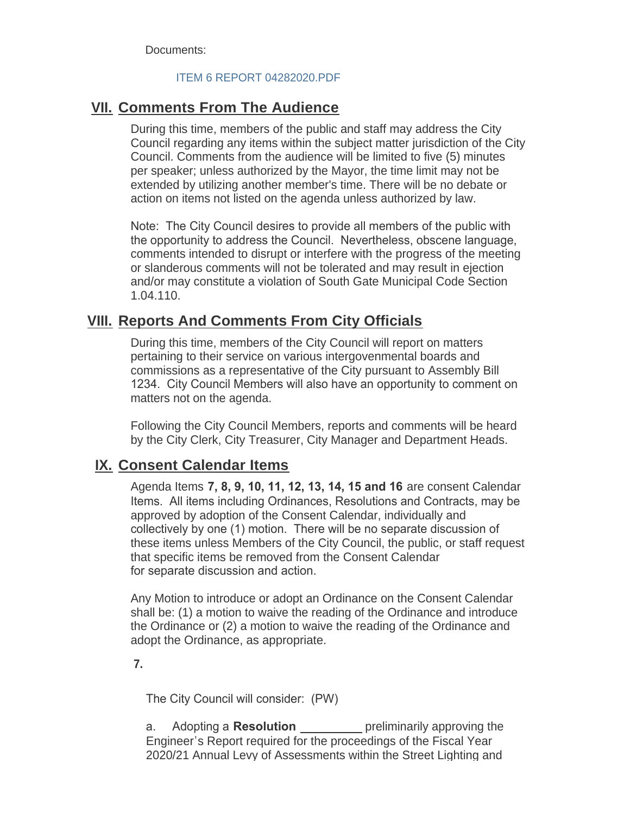Documents:

#### [ITEM 6 REPORT 04282020.PDF](http://cityofsouthgate.org/AgendaCenter/ViewFile/Item/8841?fileID=24007)

### **<u>VII. Comments From The Audience</u>**

During this time, members of the public and staff may address the City Council regarding any items within the subject matter jurisdiction of the City Council. Comments from the audience will be limited to five (5) minutes per speaker; unless authorized by the Mayor, the time limit may not be extended by utilizing another member's time. There will be no debate or action on items not listed on the agenda unless authorized by law.

Note: The City Council desires to provide all members of the public with the opportunity to address the Council. Nevertheless, obscene language, comments intended to disrupt or interfere with the progress of the meeting or slanderous comments will not be tolerated and may result in ejection and/or may constitute a violation of South Gate Municipal Code Section 1.04.110.

### **Reports And Comments From City Officials VIII.**

During this time, members of the City Council will report on matters pertaining to their service on various intergovenmental boards and commissions as a representative of the City pursuant to Assembly Bill 1234. City Council Members will also have an opportunity to comment on matters not on the agenda.

Following the City Council Members, reports and comments will be heard by the City Clerk, City Treasurer, City Manager and Department Heads.

### **IX. Consent Calendar Items**

Agenda Items **7, 8, 9, 10, 11, 12, 13, 14, 15 and 16** are consent Calendar Items. All items including Ordinances, Resolutions and Contracts, may be approved by adoption of the Consent Calendar, individually and collectively by one (1) motion. There will be no separate discussion of these items unless Members of the City Council, the public, or staff request that specific items be removed from the Consent Calendar for separate discussion and action.

Any Motion to introduce or adopt an Ordinance on the Consent Calendar shall be: (1) a motion to waive the reading of the Ordinance and introduce the Ordinance or (2) a motion to waive the reading of the Ordinance and adopt the Ordinance, as appropriate.

**7.** 

The City Council will consider: (PW)

a. Adopting a **Resolution** \_\_\_\_\_\_\_\_\_ preliminarily approving the Engineer's Report required for the proceedings of the Fiscal Year 2020/21 Annual Levy of Assessments within the Street Lighting and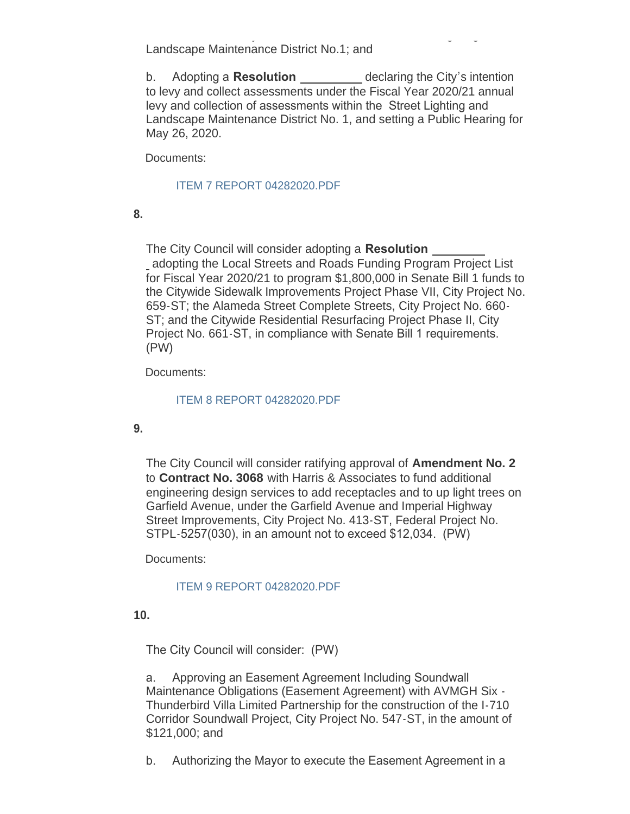2020/21 Annual Levy of Assessments within the Street Lighting and Landscape Maintenance District No.1; and

b. Adopting a **Resolution** declaring the City's intention to levy and collect assessments under the Fiscal Year 2020/21 annual levy and collection of assessments within the Street Lighting and Landscape Maintenance District No. 1, and setting a Public Hearing for May 26, 2020.

Documents:

#### [ITEM 7 REPORT 04282020.PDF](http://cityofsouthgate.org/AgendaCenter/ViewFile/Item/8842?fileID=24008)

**8.** 

The City Council will consider adopting a **Resolution**  adopting the Local Streets and Roads Funding Program Project List for Fiscal Year 2020/21 to program \$1,800,000 in Senate Bill 1 funds to the Citywide Sidewalk Improvements Project Phase VII, City Project No. 659-ST; the Alameda Street Complete Streets, City Project No. 660- ST; and the Citywide Residential Resurfacing Project Phase II, City Project No. 661-ST, in compliance with Senate Bill 1 requirements. (PW)

Documents:

#### [ITEM 8 REPORT 04282020.PDF](http://cityofsouthgate.org/AgendaCenter/ViewFile/Item/8843?fileID=24009)

#### **9.**

The City Council will consider ratifying approval of **Amendment No. 2** to **Contract No. 3068** with Harris & Associates to fund additional engineering design services to add receptacles and to up light trees on Garfield Avenue, under the Garfield Avenue and Imperial Highway Street Improvements, City Project No. 413-ST, Federal Project No. STPL-5257(030), in an amount not to exceed \$12,034. (PW)

Documents:

#### [ITEM 9 REPORT 04282020.PDF](http://cityofsouthgate.org/AgendaCenter/ViewFile/Item/8848?fileID=24015)

**10.**

The City Council will consider: (PW)

a. Approving an Easement Agreement Including Soundwall Maintenance Obligations (Easement Agreement) with AVMGH Six - Thunderbird Villa Limited Partnership for the construction of the I-710 Corridor Soundwall Project, City Project No. 547-ST, in the amount of \$121,000; and

b. Authorizing the Mayor to execute the Easement Agreement in a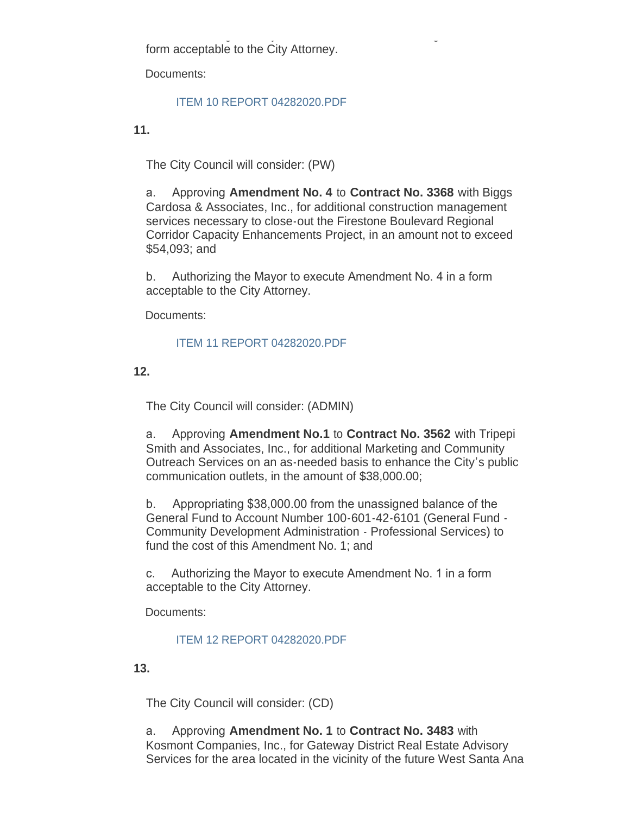b. Authorizing the Mayor to execute the Easement Agreement in a form acceptable to the City Attorney.

Documents:

#### [ITEM 10 REPORT 04282020.PDF](http://cityofsouthgate.org/AgendaCenter/ViewFile/Item/8851?fileID=24018)

**11.**

The City Council will consider: (PW)

a. Approving **Amendment No. 4** to **Contract No. 3368** with Biggs Cardosa & Associates, Inc., for additional construction management services necessary to close-out the Firestone Boulevard Regional Corridor Capacity Enhancements Project, in an amount not to exceed \$54,093; and

b. Authorizing the Mayor to execute Amendment No. 4 in a form acceptable to the City Attorney.

Documents:

#### [ITEM 11 REPORT 04282020.PDF](http://cityofsouthgate.org/AgendaCenter/ViewFile/Item/8854?fileID=24021)

**12.**

The City Council will consider: (ADMIN)

a. Approving **Amendment No.1** to **Contract No. 3562** with Tripepi Smith and Associates, Inc., for additional Marketing and Community Outreach Services on an as-needed basis to enhance the City's public communication outlets, in the amount of \$38,000.00;

b. Appropriating \$38,000.00 from the unassigned balance of the General Fund to Account Number 100-601-42-6101 (General Fund - Community Development Administration - Professional Services) to fund the cost of this Amendment No. 1; and

c. Authorizing the Mayor to execute Amendment No. 1 in a form acceptable to the City Attorney.

Documents:

#### [ITEM 12 REPORT 04282020.PDF](http://cityofsouthgate.org/AgendaCenter/ViewFile/Item/8846?fileID=24011)

**13.**

The City Council will consider: (CD)

a. Approving **Amendment No. 1** to **Contract No. 3483** with Kosmont Companies, Inc., for Gateway District Real Estate Advisory Services for the area located in the vicinity of the future West Santa Ana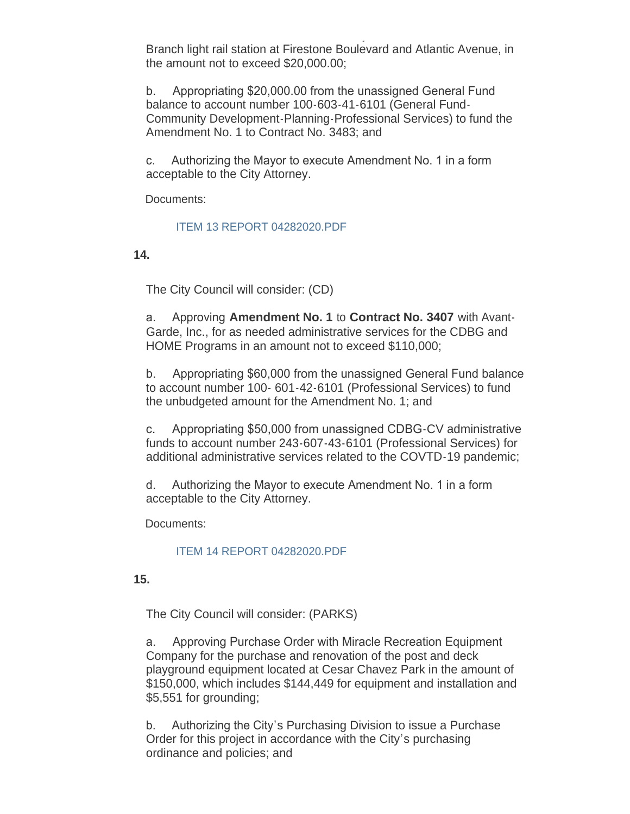Services for the area located in the vicinity of the future West Santa Ana Branch light rail station at Firestone Boulevard and Atlantic Avenue, in the amount not to exceed \$20,000.00;

b. Appropriating \$20,000.00 from the unassigned General Fund balance to account number 100-603-41-6101 (General Fund-Community Development-Planning-Professional Services) to fund the Amendment No. 1 to Contract No. 3483; and

c. Authorizing the Mayor to execute Amendment No. 1 in a form acceptable to the City Attorney.

Documents:

#### [ITEM 13 REPORT 04282020.PDF](http://cityofsouthgate.org/AgendaCenter/ViewFile/Item/8847?fileID=24012)

**14.** 

The City Council will consider: (CD)

a. Approving **Amendment No. 1** to **Contract No. 3407** with Avant-Garde, Inc., for as needed administrative services for the CDBG and HOME Programs in an amount not to exceed \$110,000;

b. Appropriating \$60,000 from the unassigned General Fund balance to account number 100- 601-42-6101 (Professional Services) to fund the unbudgeted amount for the Amendment No. 1; and

c. Appropriating \$50,000 from unassigned CDBG-CV administrative funds to account number 243-607-43-6101 (Professional Services) for additional administrative services related to the COVTD-19 pandemic;

d. Authorizing the Mayor to execute Amendment No. 1 in a form acceptable to the City Attorney.

Documents:

#### [ITEM 14 REPORT 04282020.PDF](http://cityofsouthgate.org/AgendaCenter/ViewFile/Item/8855?fileID=24022)

**15.**

The City Council will consider: (PARKS)

a. Approving Purchase Order with Miracle Recreation Equipment Company for the purchase and renovation of the post and deck playground equipment located at Cesar Chavez Park in the amount of \$150,000, which includes \$144,449 for equipment and installation and \$5,551 for grounding;

b. Authorizing the City's Purchasing Division to issue a Purchase Order for this project in accordance with the City's purchasing ordinance and policies; and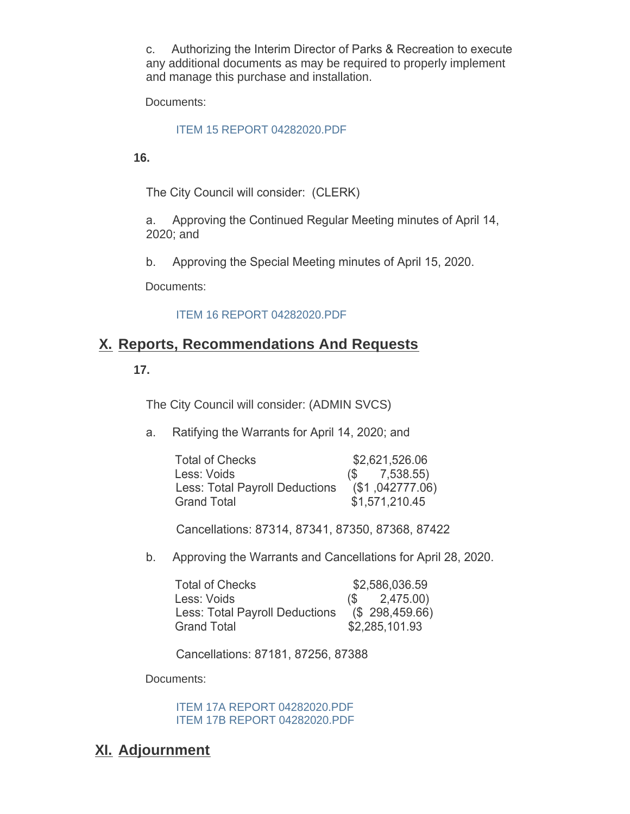c. Authorizing the Interim Director of Parks & Recreation to execute any additional documents as may be required to properly implement and manage this purchase and installation.

Documents:

#### [ITEM 15 REPORT 04282020.PDF](http://cityofsouthgate.org/AgendaCenter/ViewFile/Item/8852?fileID=24019)

**16.**

The City Council will consider: (CLERK)

a. Approving the Continued Regular Meeting minutes of April 14, 2020; and

b. Approving the Special Meeting minutes of April 15, 2020.

Documents:

#### [ITEM 16 REPORT 04282020.PDF](http://cityofsouthgate.org/AgendaCenter/ViewFile/Item/8844?fileID=24010)

### **Reports, Recommendations And Requests X.**

#### **17.**

The City Council will consider: (ADMIN SVCS)

a. Ratifying the Warrants for April 14, 2020; and

| <b>Total of Checks</b>                | \$2,621,526.06    |
|---------------------------------------|-------------------|
| Less: Voids                           | $(S \t 7,538.55)$ |
| <b>Less: Total Payroll Deductions</b> | (\$1,042777.06)   |
| <b>Grand Total</b>                    | \$1,571,210.45    |

Cancellations: 87314, 87341, 87350, 87368, 87422

b. Approving the Warrants and Cancellations for April 28, 2020.

| <b>Total of Checks</b>                | \$2,586,036.59      |
|---------------------------------------|---------------------|
| Less: Voids                           | 2,475.00)<br>$(S -$ |
| <b>Less: Total Payroll Deductions</b> | (\$298,459.66)      |
| <b>Grand Total</b>                    | \$2,285,101.93      |

Cancellations: 87181, 87256, 87388

Documents:

[ITEM 17A REPORT 04282020.PDF](http://cityofsouthgate.org/AgendaCenter/ViewFile/Item/8845?fileID=24013) [ITEM 17B REPORT 04282020.PDF](http://cityofsouthgate.org/AgendaCenter/ViewFile/Item/8845?fileID=24014)

### **Adjournment XI.**